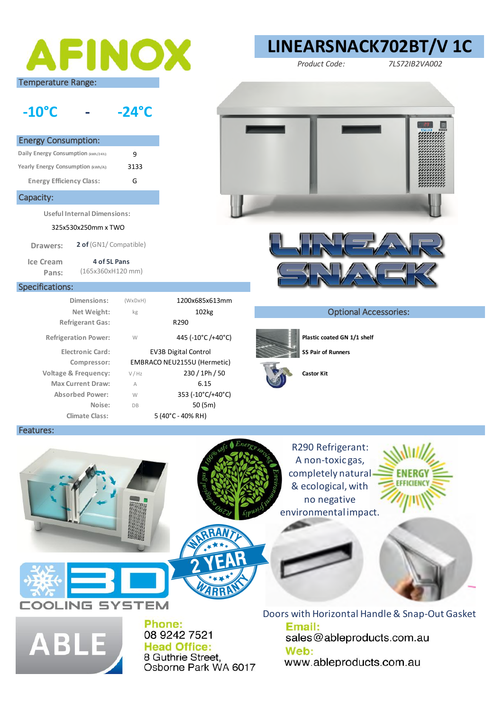

## **-10°C - -24°C**

| <b>Energy Consumption:</b>          |      |
|-------------------------------------|------|
| Daily Energy Consumption (kwh/24h): | 9    |
| Yearly Energy Consumption (kWh/A):  | 3133 |
| <b>Energy Efficiency Class:</b>     | G    |

## Capacity:

**Useful Internal Dimensions:** 

325x530x250mm x TWO

**Drawers: 2 of** (GN1/ Compatible)

> **4 of 5L Pans**  (165x360xH120 mm)

> > (WxDxH)

## Specifications:

Features:

**Ice Cream Pans:** 

> **Refrigerant Gas:** R290 **Climate Class:** 5 (40°C - 40% RH) **Compressor: Dimensions:** 1200x685x613mm

kg W V / Hz A W DB Refrigeration Power:  $W = 445 (-10^{\circ}C)/40^{\circ}C)$  **Plastic coated GN 1/1 shelf** EMBRACO NEU2155U (Hermetic) **Voltage & Frequency:** 230 / 1Ph / 50 **Castor Kit Max Current Draw:** A 6.15 **Absorbed Power:** 353 (-10°C/+40°C) **Noise:** 50 (5m) **Electronic Card:** EV3B Digital Control **SS Pair of Runners Net Weight:**  $\frac{102\text{kg}}{102\text{kg}}$  102kg **Optional Accessories:** 











R290 Refrigerant: A non-toxic gas, completely natural & ecological, with no negative environmental impact.





**ABI** 

**COLING SYSTEM** 

Phone: 08 9242 7521 **Head Office:** 8 Guthrie Street, Osborne Park WA 6017 Doors with Horizontal Handle & Snap-Out Gasket Email: sales@ableproducts.com.au Web: www.ableproducts.com.au